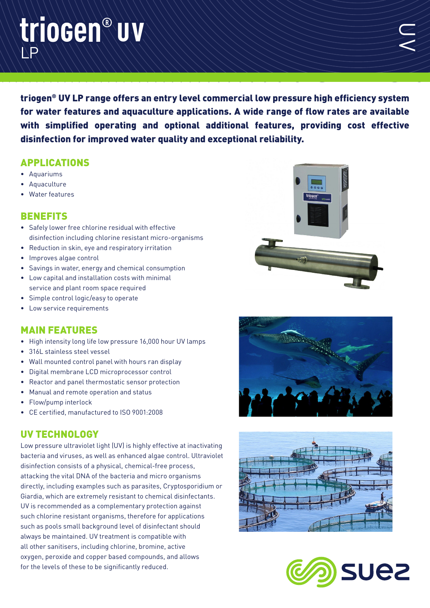## LP triocen®uv

triogen® UV LP range offers an entry level commercial low pressure high efficiency system for water features and aquaculture applications. A wide range of flow rates are available with simplified operating and optional additional features, providing cost effective disinfection for improved water quality and exceptional reliability.

## APPLICATIONS

- Aquariums
- **Aquaculture**
- Water features

## **BENEFITS**

- Safely lower free chlorine residual with effective disinfection including chlorine resistant micro-organisms
- Reduction in skin, eye and respiratory irritation
- Improves algae control
- Savings in water, energy and chemical consumption
- Low capital and installation costs with minimal service and plant room space required
- Simple control logic/easy to operate
- Low service requirements

## MAIN FEATURES

- High intensity long life low pressure 16,000 hour UV lamps
- 316L stainless steel vessel
- Wall mounted control panel with hours ran display
- Digital membrane LCD microprocessor control
- Reactor and panel thermostatic sensor protection
- Manual and remote operation and status
- Flow/pump interlock
- CE certified, manufactured to ISO 9001:2008

## UV TECHNOLOGY

Low pressure ultraviolet light (UV) is highly effective at inactivating bacteria and viruses, as well as enhanced algae control. Ultraviolet disinfection consists of a physical, chemical-free process, attacking the vital DNA of the bacteria and micro organisms directly, including examples such as parasites, Cryptosporidium or Giardia, which are extremely resistant to chemical disinfectants. UV is recommended as a complementary protection against such chlorine resistant organisms, therefore for applications such as pools small background level of disinfectant should always be maintained. UV treatment is compatible with all other sanitisers, including chlorine, bromine, active oxygen, peroxide and copper based compounds, and allows for the levels of these to be significantly reduced.